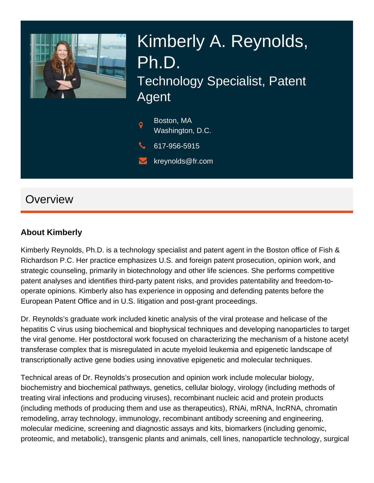

# Kimberly A. Reynolds, Ph.D. Technology Specialist, Patent Agent



 $\blacktriangleright$  kreynolds@fr.com

## **Overview**

#### **About Kimberly**

Kimberly Reynolds, Ph.D. is a technology specialist and patent agent in the Boston office of Fish & Richardson P.C. Her practice emphasizes U.S. and foreign patent prosecution, opinion work, and strategic counseling, primarily in biotechnology and other life sciences. She performs competitive patent analyses and identifies third-party patent risks, and provides patentability and freedom-tooperate opinions. Kimberly also has experience in opposing and defending patents before the European Patent Office and in U.S. litigation and post-grant proceedings.

Dr. Reynolds's graduate work included kinetic analysis of the viral protease and helicase of the hepatitis C virus using biochemical and biophysical techniques and developing nanoparticles to target the viral genome. Her postdoctoral work focused on characterizing the mechanism of a histone acetyl transferase complex that is misregulated in acute myeloid leukemia and epigenetic landscape of transcriptionally active gene bodies using innovative epigenetic and molecular techniques.

Technical areas of Dr. Reynolds's prosecution and opinion work include molecular biology, biochemistry and biochemical pathways, genetics, cellular biology, virology (including methods of treating viral infections and producing viruses), recombinant nucleic acid and protein products (including methods of producing them and use as therapeutics), RNAi, mRNA, lncRNA, chromatin remodeling, array technology, immunology, recombinant antibody screening and engineering, molecular medicine, screening and diagnostic assays and kits, biomarkers (including genomic, proteomic, and metabolic), transgenic plants and animals, cell lines, nanoparticle technology, surgical